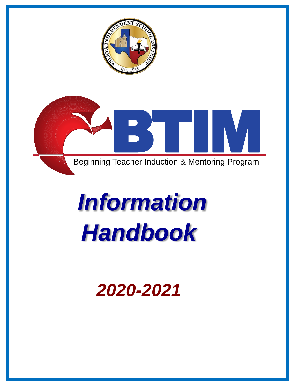



# *Information Handbook*

# *2020-2021*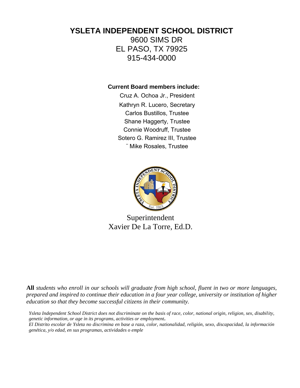#### **YSLETA INDEPENDENT SCHOOL DISTRICT**

9600 SIMS DR EL PASO, TX 79925 915-434-0000

**Current Board members include:**

Cruz A. Ochoa Jr., President Kathryn R. Lucero, Secretary Carlos Bustillos, Trustee Shane Haggerty, Trustee Connie Woodruff, Trustee Sotero G. Ramirez III, Trustee ¨ Mike Rosales, Trustee



Superintendent Xavier De La Torre, Ed.D.

**All** *students who enroll in our schools will graduate from high school, fluent in two or more languages, prepared and inspired to continue their education in a four year college, university or institution of higher education so that they become successful citizens in their community.*

*Ysleta Independent School District does not discriminate on the basis of race, color, national origin, religion, sex, disability, genetic information, or age in its programs, activities or employment***.**

*El Distrito escolar de Ysleta no discrimina en base a raza, color, nationalidad, religión, sexo, discapacidad, la información genética, y/o edad, en sus programas, actividades o emple*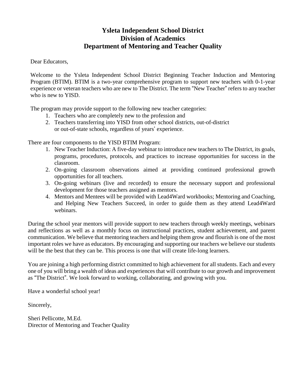#### **Ysleta Independent School District Division of Academics Department of Mentoring and Teacher Quality**

Dear Educators,

Welcome to the Ysleta Independent School District Beginning Teacher Induction and Mentoring Program (BTIM). BTIM is a two-year comprehensive program to support new teachers with 0-1-year experience or veteran teachers who are new to The District. The term "New Teacher" refers to any teacher who is new to YISD.

The program may provide support to the following new teacher categories:

- 1. Teachers who are completely new to the profession and
- 2. Teachers transferring into YISD from other school districts, out-of-district or out-of-state schools, regardless of years' experience.

There are four components to the YISD BTIM Program:

- 1. New Teacher Induction: A five-day webinar to introduce new teachers to The District, its goals, programs, procedures, protocols, and practices to increase opportunities for success in the classroom.
- 2. On-going classroom observations aimed at providing continued professional growth opportunities for all teachers.
- 3. On-going webinars (live and recorded) to ensure the necessary support and professional development for those teachers assigned as mentors.
- 4. Mentors and Mentees will be provided with Lead4Ward workbooks; Mentoring and Coaching, and Helping New Teachers Succeed, in order to guide them as they attend Lead4Ward webinars.

During the school year mentors will provide support to new teachers through weekly meetings, webinars and reflections as well as a monthly focus on instructional practices, student achievement, and parent communication. We believe that mentoring teachers and helping them grow and flourish is one of the most important roles we have as educators. By encouraging and supporting our teachers we believe our students will be the best that they can be. This process is one that will create life-long learners.

You are joining a high performing district committed to high achievement for all students. Each and every one of you will bring a wealth of ideas and experiences that will contribute to our growth and improvement as "The District". We look forward to working, collaborating, and growing with you.

Have a wonderful school year!

Sincerely,

Sheri Pellicotte, M.Ed. Director of Mentoring and Teacher Quality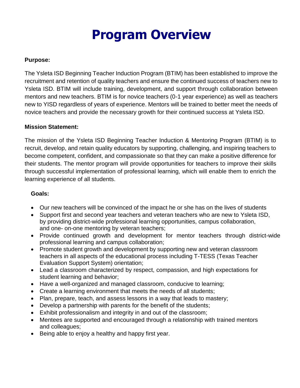# **Program Overview**

#### **Purpose:**

The Ysleta ISD Beginning Teacher Induction Program (BTIM) has been established to improve the recruitment and retention of quality teachers and ensure the continued success of teachers new to Ysleta ISD. BTIM will include training, development, and support through collaboration between mentors and new teachers. BTIM is for novice teachers (0-1 year experience) as well as teachers new to YISD regardless of years of experience. Mentors will be trained to better meet the needs of novice teachers and provide the necessary growth for their continued success at Ysleta ISD.

#### **Mission Statement:**

The mission of the Ysleta ISD Beginning Teacher Induction & Mentoring Program (BTIM) is to recruit, develop, and retain quality educators by supporting, challenging, and inspiring teachers to become competent, confident, and compassionate so that they can make a positive difference for their students. The mentor program will provide opportunities for teachers to improve their skills through successful implementation of professional learning, which will enable them to enrich the learning experience of all students.

#### **Goals:**

- Our new teachers will be convinced of the impact he or she has on the lives of students
- Support first and second year teachers and veteran teachers who are new to Ysleta ISD, by providing district-wide professional learning opportunities, campus collaboration, and one- on-one mentoring by veteran teachers;
- Provide continued growth and development for mentor teachers through district-wide professional learning and campus collaboration;
- Promote student growth and development by supporting new and veteran classroom teachers in all aspects of the educational process including T-TESS (Texas Teacher Evaluation Support System) orientation;
- Lead a classroom characterized by respect, compassion, and high expectations for student learning and behavior;
- Have a well-organized and managed classroom, conducive to learning;
- Create a learning environment that meets the needs of all students;
- Plan, prepare, teach, and assess lessons in a way that leads to mastery;
- Develop a partnership with parents for the benefit of the students;
- Exhibit professionalism and integrity in and out of the classroom;
- Mentees are supported and encouraged through a relationship with trained mentors and colleagues;
- Being able to enjoy a healthy and happy first year.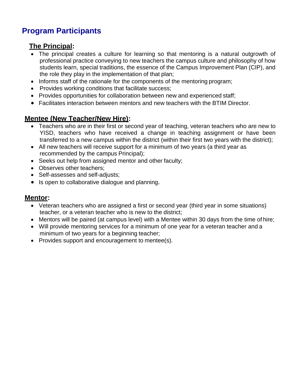### **Program Participants**

#### **The Principal:**

- The principal creates a culture for learning so that mentoring is a natural outgrowth of professional practice conveying to new teachers the campus culture and philosophy of how students learn, special traditions, the essence of the Campus Improvement Plan (CIP), and the role they play in the implementation of that plan;
- Informs staff of the rationale for the components of the mentoring program;
- Provides working conditions that facilitate success;
- Provides opportunities for collaboration between new and experienced staff;
- Facilitates interaction between mentors and new teachers with the BTIM Director.

#### **Mentee (New Teacher/New Hire):**

- Teachers who are in their first or second year of teaching, veteran teachers who are new to YISD, teachers who have received a change in teaching assignment or have been transferred to a new campus within the district (within their first two years with the district);
- All new teachers will receive support for a minimum of two years (a third year as recommended by the campus Principal);
- Seeks out help from assigned mentor and other faculty;
- Observes other teachers:
- Self-assesses and self-adjusts;
- Is open to collaborative dialogue and planning.

#### **Mentor:**

- Veteran teachers who are assigned a first or second year (third year in some situations) teacher, or a veteran teacher who is new to the district;
- Mentors will be paired (at campus level) with a Mentee within 30 days from the time of hire;
- Will provide mentoring services for a minimum of one year for a veteran teacher and a minimum of two years for a beginning teacher;
- Provides support and encouragement to mentee(s).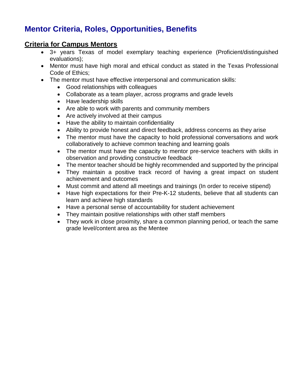### **Mentor Criteria, Roles, Opportunities, Benefits**

#### **Criteria for Campus Mentors**

- 3+ years Texas of model exemplary teaching experience (Proficient/distinguished evaluations);
- Mentor must have high moral and ethical conduct as stated in the Texas Professional Code of Ethics;
- The mentor must have effective interpersonal and communication skills:
	- Good relationships with colleagues
	- Collaborate as a team player, across programs and grade levels
	- Have leadership skills
	- Are able to work with parents and community members
	- Are actively involved at their campus
	- Have the ability to maintain confidentiality
	- Ability to provide honest and direct feedback, address concerns as they arise
	- The mentor must have the capacity to hold professional conversations and work collaboratively to achieve common teaching and learning goals
	- The mentor must have the capacity to mentor pre-service teachers with skills in observation and providing constructive feedback
	- The mentor teacher should be highly recommended and supported by the principal
	- They maintain a positive track record of having a great impact on student achievement and outcomes
	- Must commit and attend all meetings and trainings (In order to receive stipend)
	- Have high expectations for their Pre-K-12 students, believe that all students can learn and achieve high standards
	- Have a personal sense of accountability for student achievement
	- They maintain positive relationships with other staff members
	- They work in close proximity, share a common planning period, or teach the same grade level/content area as the Mentee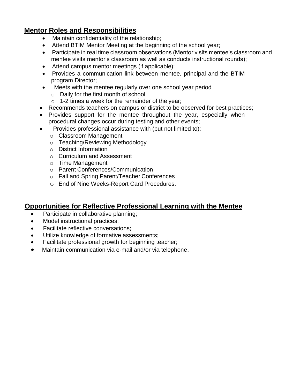#### **Mentor Roles and Responsibilities**

- Maintain confidentiality of the relationship;
- Attend BTIM Mentor Meeting at the beginning of the school year;
- Participate in real time classroom observations (Mentor visits mentee's classroom and mentee visits mentor's classroom as well as conducts instructional rounds);
- Attend campus mentor meetings (if applicable);
- Provides a communication link between mentee, principal and the BTIM program Director;
- Meets with the mentee regularly over one school year period
	- o Daily for the first month of school
	- $\circ$  1-2 times a week for the remainder of the year;
- Recommends teachers on campus or district to be observed for best practices;
- Provides support for the mentee throughout the year, especially when procedural changes occur during testing and other events;
- Provides professional assistance with (but not limited to):
	- o Classroom Management
	- o Teaching/Reviewing Methodology
	- o District Information
	- o Curriculum and Assessment
	- o Time Management
	- o Parent Conferences/Communication
	- o Fall and Spring Parent/Teacher Conferences
	- o End of Nine Weeks-Report Card Procedures.

#### **Opportunities for Reflective Professional Learning with the Mentee**

- Participate in collaborative planning;
- Model instructional practices;
- Facilitate reflective conversations;
- Utilize knowledge of formative assessments;
- Facilitate professional growth for beginning teacher;
- Maintain communication via e-mail and/or via telephone.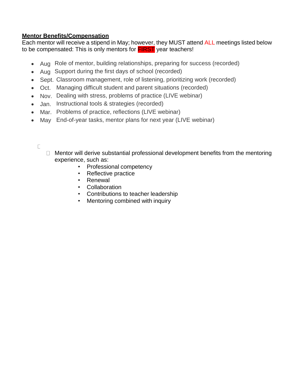#### **Mentor Benefits/Compensation**

Each mentor will receive a stipend in May; however, they MUST attend ALL meetings listed below to be compensated: This is only mentors for **FIRST** year teachers!

- Aug Role of mentor, building relationships, preparing for success (recorded)
- Aug Support during the first days of school (recorded)
- Sept. Classroom management, role of listening, prioritizing work (recorded)
- Oct. Managing difficult student and parent situations (recorded)
- Nov. Dealing with stress, problems of practice (LIVE webinar)
- Jan. Instructional tools & strategies (recorded)
- Mar. Problems of practice, reflections (LIVE webinar)
- May End-of-year tasks, mentor plans for next year (LIVE webinar)
	- $\Box$
- $\Box$  Mentor will derive substantial professional development benefits from the mentoring experience, such as:
	- Professional competency
	- Reflective practice
	- Renewal
	- Collaboration
	- Contributions to teacher leadership
	- Mentoring combined with inquiry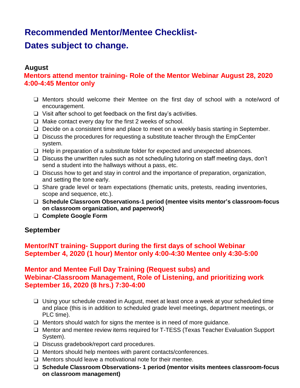# **Recommended Mentor/Mentee Checklist-**

## **Dates subject to change.**

#### **August**

**Mentors attend mentor training- Role of the Mentor Webinar August 28, 2020 4:00-4:45 Mentor only**

- ❑ Mentors should welcome their Mentee on the first day of school with a note/word of encouragement.
- ❑ Visit after school to get feedback on the first day's activities.
- ❑ Make contact every day for the first 2 weeks of school.
- ❑ Decide on a consistent time and place to meet on a weekly basis starting in September.
- ❑ Discuss the procedures for requesting a substitute teacher through the EmpCenter system.
- ❑ Help in preparation of a substitute folder for expected and unexpected absences.
- ❑ Discuss the unwritten rules such as not scheduling tutoring on staff meeting days, don't send a student into the hallways without a pass, etc.
- ❑ Discuss how to get and stay in control and the importance of preparation, organization, and setting the tone early.
- ❑ Share grade level or team expectations (thematic units, pretests, reading inventories, scope and sequence, etc.).
- ❑ **Schedule Classroom Observations-1 period (mentee visits mentor's classroom-focus on classroom organization, and paperwork)**
- ❑ **Complete Google Form**

#### **September**

#### **Mentor/NT training- Support during the first days of school Webinar September 4, 2020 (1 hour) Mentor only 4:00-4:30 Mentee only 4:30-5:00**

#### **Mentor and Mentee Full Day Training (Request subs) and Webinar-Classroom Management, Role of Listening, and prioritizing work September 16, 2020 (8 hrs.) 7:30-4:00**

- ❑ Using your schedule created in August, meet at least once a week at your scheduled time and place (this is in addition to scheduled grade level meetings, department meetings, or PLC time).
- ❑ Mentors should watch for signs the mentee is in need of more guidance.
- ❑ Mentor and mentee review items required for T-TESS (Texas Teacher Evaluation Support System).
- ❑ Discuss gradebook/report card procedures.
- ❑ Mentors should help mentees with parent contacts/conferences.
- ❑ Mentors should leave a motivational note for their mentee.
- ❑ **Schedule Classroom Observations- 1 period (mentor visits mentees classroom-focus on classroom management)**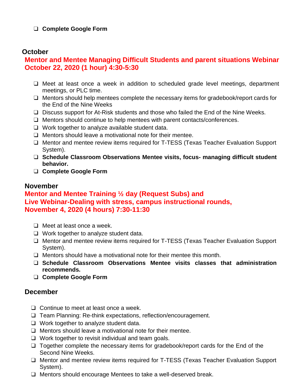#### ❑ **Complete Google Form**

#### **October**

#### **Mentor and Mentee Managing Difficult Students and parent situations Webinar October 22, 2020 (1 hour) 4:30-5:30**

- ❑ Meet at least once a week in addition to scheduled grade level meetings, department meetings, or PLC time.
- ❑ Mentors should help mentees complete the necessary items for gradebook/report cards for the End of the Nine Weeks
- ❑ Discuss support for At-Risk students and those who failed the End of the Nine Weeks.
- ❑ Mentors should continue to help mentees with parent contacts/conferences.
- ❑ Work together to analyze available student data.
- ❑ Mentors should leave a motivational note for their mentee.
- ❑ Mentor and mentee review items required for T-TESS (Texas Teacher Evaluation Support System).
- ❑ **Schedule Classroom Observations Mentee visits, focus- managing difficult student behavior.**
- ❑ **Complete Google Form**

#### **November**

#### **Mentor and Mentee Training ½ day (Request Subs) and Live Webinar-Dealing with stress, campus instructional rounds, November 4, 2020 (4 hours) 7:30-11:30**

- ❑ Meet at least once a week.
- ❑ Work together to analyze student data.
- ❑ Mentor and mentee review items required for T-TESS (Texas Teacher Evaluation Support System).
- $\Box$  Mentors should have a motivational note for their mentee this month.
- ❑ **Schedule Classroom Observations Mentee visits classes that administration recommends.**
- ❑ **Complete Google Form**

#### **December**

- ❑ Continue to meet at least once a week.
- ❑ Team Planning: Re-think expectations, reflection/encouragement.
- ❑ Work together to analyze student data.
- ❑ Mentors should leave a motivational note for their mentee.
- ❑ Work together to revisit individual and team goals.
- ❑ Together complete the necessary items for gradebook/report cards for the End of the Second Nine Weeks.
- ❑ Mentor and mentee review items required for T-TESS (Texas Teacher Evaluation Support System).
- ❑ Mentors should encourage Mentees to take a well-deserved break.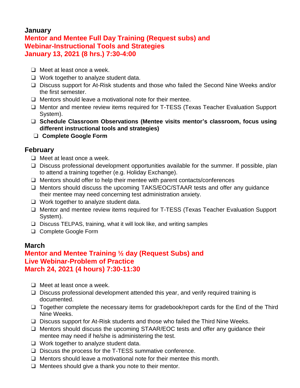#### **January Mentor and Mentee Full Day Training (Request subs) and Webinar-Instructional Tools and Strategies January 13, 2021 (8 hrs.) 7:30-4:00**

- ❑ Meet at least once a week.
- ❑ Work together to analyze student data.
- ❑ Discuss support for At-Risk students and those who failed the Second Nine Weeks and/or the first semester.
- ❑ Mentors should leave a motivational note for their mentee.
- ❑ Mentor and mentee review items required for T-TESS (Texas Teacher Evaluation Support System).
- ❑ **Schedule Classroom Observations (Mentee visits mentor's classroom, focus using different instructional tools and strategies)**
- ❑ **Complete Google Form**

#### **February**

- ❑ Meet at least once a week.
- ❑ Discuss professional development opportunities available for the summer. If possible, plan to attend a training together (e.g. Holiday Exchange).
- ❑ Mentors should offer to help their mentee with parent contacts/conferences
- ❑ Mentors should discuss the upcoming TAKS/EOC/STAAR tests and offer any guidance their mentee may need concerning test administration anxiety.
- ❑ Work together to analyze student data.
- ❑ Mentor and mentee review items required for T-TESS (Texas Teacher Evaluation Support System).
- ❑ Discuss TELPAS, training, what it will look like, and writing samples
- ❑ Complete Google Form

#### **March**

#### **Mentor and Mentee Training ½ day (Request Subs) and Live Webinar-Problem of Practice March 24, 2021 (4 hours) 7:30-11:30**

- ❑ Meet at least once a week.
- ❑ Discuss professional development attended this year, and verify required training is documented.
- ❑ Together complete the necessary items for gradebook/report cards for the End of the Third Nine Weeks.
- ❑ Discuss support for At-Risk students and those who failed the Third Nine Weeks.
- ❑ Mentors should discuss the upcoming STAAR/EOC tests and offer any guidance their mentee may need if he/she is administering the test.
- ❑ Work together to analyze student data.
- ❑ Discuss the process for the T-TESS summative conference.
- ❑ Mentors should leave a motivational note for their mentee this month.
- ❑ Mentees should give a thank you note to their mentor.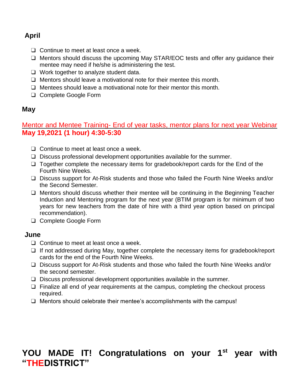#### **April**

- ❑ Continue to meet at least once a week.
- ❑ Mentors should discuss the upcoming May STAR/EOC tests and offer any guidance their mentee may need if he/she is administering the test.
- ❑ Work together to analyze student data.
- ❑ Mentors should leave a motivational note for their mentee this month.
- ❑ Mentees should leave a motivational note for their mentor this month.
- ❑ Complete Google Form

#### **May**

Mentor and Mentee Training- End of year tasks, mentor plans for next year Webinar **May 19,2021 (1 hour) 4:30-5:30**

- ❑ Continue to meet at least once a week.
- ❑ Discuss professional development opportunities available for the summer.
- ❑ Together complete the necessary items for gradebook/report cards for the End of the Fourth Nine Weeks.
- ❑ Discuss support for At-Risk students and those who failed the Fourth Nine Weeks and/or the Second Semester.
- ❑ Mentors should discuss whether their mentee will be continuing in the Beginning Teacher Induction and Mentoring program for the next year (BTIM program is for minimum of two years for new teachers from the date of hire with a third year option based on principal recommendation).
- ❑ Complete Google Form

#### **June**

- ❑ Continue to meet at least once a week.
- ❑ If not addressed during May, together complete the necessary items for gradebook/report cards for the end of the Fourth Nine Weeks.
- ❑ Discuss support for At-Risk students and those who failed the fourth Nine Weeks and/or the second semester.
- ❑ Discuss professional development opportunities available in the summer.
- ❑ Finalize all end of year requirements at the campus, completing the checkout process required.
- ❑ Mentors should celebrate their mentee's accomplishments with the campus!

# **YOU MADE IT! Congratulations on your 1st year with "THEDISTRICT"**